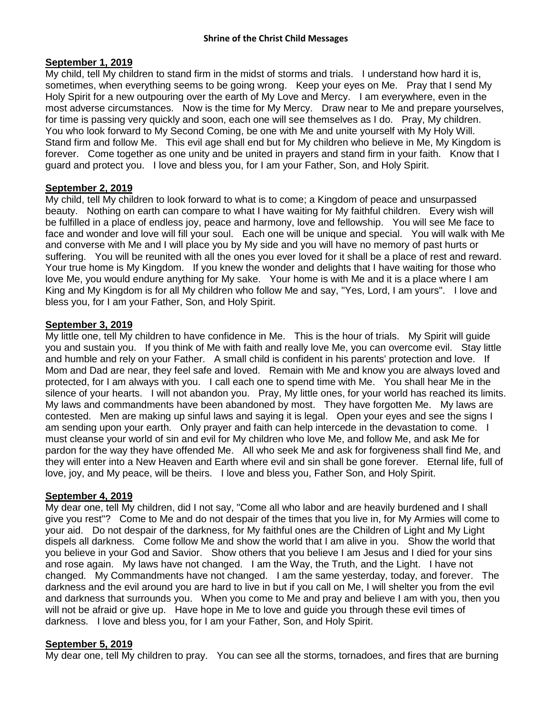## **September 1, 2019**

My child, tell My children to stand firm in the midst of storms and trials. I understand how hard it is, sometimes, when everything seems to be going wrong. Keep your eyes on Me. Pray that I send My Holy Spirit for a new outpouring over the earth of My Love and Mercy. I am everywhere, even in the most adverse circumstances. Now is the time for My Mercy. Draw near to Me and prepare yourselves, for time is passing very quickly and soon, each one will see themselves as I do. Pray, My children. You who look forward to My Second Coming, be one with Me and unite yourself with My Holy Will. Stand firm and follow Me. This evil age shall end but for My children who believe in Me, My Kingdom is forever. Come together as one unity and be united in prayers and stand firm in your faith. Know that I guard and protect you. I love and bless you, for I am your Father, Son, and Holy Spirit.

# **September 2, 2019**

My child, tell My children to look forward to what is to come; a Kingdom of peace and unsurpassed beauty. Nothing on earth can compare to what I have waiting for My faithful children. Every wish will be fulfilled in a place of endless joy, peace and harmony, love and fellowship. You will see Me face to face and wonder and love will fill your soul. Each one will be unique and special. You will walk with Me and converse with Me and I will place you by My side and you will have no memory of past hurts or suffering. You will be reunited with all the ones you ever loved for it shall be a place of rest and reward. Your true home is My Kingdom. If you knew the wonder and delights that I have waiting for those who love Me, you would endure anything for My sake. Your home is with Me and it is a place where I am King and My Kingdom is for all My children who follow Me and say, "Yes, Lord, I am yours". I love and bless you, for I am your Father, Son, and Holy Spirit.

## **September 3, 2019**

My little one, tell My children to have confidence in Me. This is the hour of trials. My Spirit will guide you and sustain you. If you think of Me with faith and really love Me, you can overcome evil. Stay little and humble and rely on your Father. A small child is confident in his parents' protection and love. If Mom and Dad are near, they feel safe and loved. Remain with Me and know you are always loved and protected, for I am always with you. I call each one to spend time with Me. You shall hear Me in the silence of your hearts. I will not abandon you. Pray, My little ones, for your world has reached its limits. My laws and commandments have been abandoned by most. They have forgotten Me. My laws are contested. Men are making up sinful laws and saying it is legal. Open your eyes and see the signs I am sending upon your earth. Only prayer and faith can help intercede in the devastation to come. I must cleanse your world of sin and evil for My children who love Me, and follow Me, and ask Me for pardon for the way they have offended Me. All who seek Me and ask for forgiveness shall find Me, and they will enter into a New Heaven and Earth where evil and sin shall be gone forever. Eternal life, full of love, joy, and My peace, will be theirs. I love and bless you, Father Son, and Holy Spirit.

### **September 4, 2019**

My dear one, tell My children, did I not say, "Come all who labor and are heavily burdened and I shall give you rest"? Come to Me and do not despair of the times that you live in, for My Armies will come to your aid. Do not despair of the darkness, for My faithful ones are the Children of Light and My Light dispels all darkness. Come follow Me and show the world that I am alive in you. Show the world that you believe in your God and Savior. Show others that you believe I am Jesus and I died for your sins and rose again. My laws have not changed. I am the Way, the Truth, and the Light. I have not changed. My Commandments have not changed. I am the same yesterday, today, and forever. The darkness and the evil around you are hard to live in but if you call on Me, I will shelter you from the evil and darkness that surrounds you. When you come to Me and pray and believe I am with you, then you will not be afraid or give up. Have hope in Me to love and guide you through these evil times of darkness. I love and bless you, for I am your Father, Son, and Holy Spirit.

### **September 5, 2019**

My dear one, tell My children to pray. You can see all the storms, tornadoes, and fires that are burning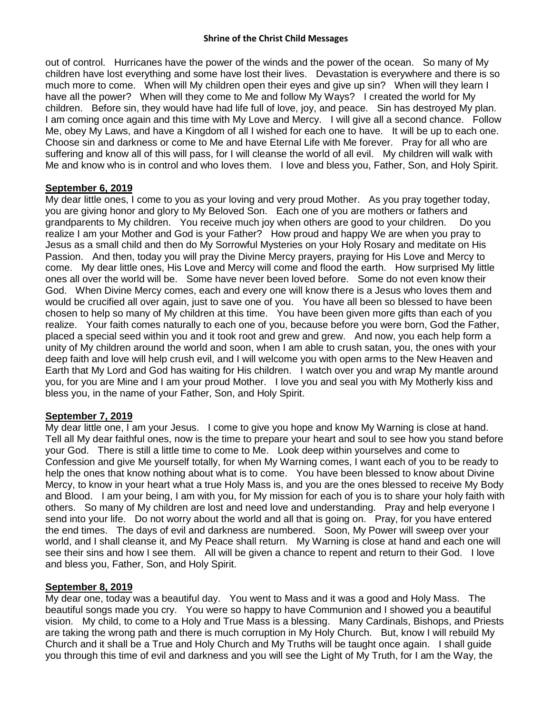#### **Shrine of the Christ Child Messages**

out of control. Hurricanes have the power of the winds and the power of the ocean. So many of My children have lost everything and some have lost their lives. Devastation is everywhere and there is so much more to come. When will My children open their eyes and give up sin? When will they learn I have all the power? When will they come to Me and follow My Ways? I created the world for My children. Before sin, they would have had life full of love, joy, and peace. Sin has destroyed My plan. I am coming once again and this time with My Love and Mercy. I will give all a second chance. Follow Me, obey My Laws, and have a Kingdom of all I wished for each one to have. It will be up to each one. Choose sin and darkness or come to Me and have Eternal Life with Me forever. Pray for all who are suffering and know all of this will pass, for I will cleanse the world of all evil. My children will walk with Me and know who is in control and who loves them. I love and bless you, Father, Son, and Holy Spirit.

## **September 6, 2019**

My dear little ones, I come to you as your loving and very proud Mother. As you pray together today, you are giving honor and glory to My Beloved Son. Each one of you are mothers or fathers and grandparents to My children. You receive much joy when others are good to your children. Do you realize I am your Mother and God is your Father? How proud and happy We are when you pray to Jesus as a small child and then do My Sorrowful Mysteries on your Holy Rosary and meditate on His Passion. And then, today you will pray the Divine Mercy prayers, praying for His Love and Mercy to come. My dear little ones, His Love and Mercy will come and flood the earth. How surprised My little ones all over the world will be. Some have never been loved before. Some do not even know their God. When Divine Mercy comes, each and every one will know there is a Jesus who loves them and would be crucified all over again, just to save one of you. You have all been so blessed to have been chosen to help so many of My children at this time. You have been given more gifts than each of you realize. Your faith comes naturally to each one of you, because before you were born, God the Father, placed a special seed within you and it took root and grew and grew. And now, you each help form a unity of My children around the world and soon, when I am able to crush satan, you, the ones with your deep faith and love will help crush evil, and I will welcome you with open arms to the New Heaven and Earth that My Lord and God has waiting for His children. I watch over you and wrap My mantle around you, for you are Mine and I am your proud Mother. I love you and seal you with My Motherly kiss and bless you, in the name of your Father, Son, and Holy Spirit.

# **September 7, 2019**

My dear little one, I am your Jesus. I come to give you hope and know My Warning is close at hand. Tell all My dear faithful ones, now is the time to prepare your heart and soul to see how you stand before your God. There is still a little time to come to Me. Look deep within yourselves and come to Confession and give Me yourself totally, for when My Warning comes, I want each of you to be ready to help the ones that know nothing about what is to come. You have been blessed to know about Divine Mercy, to know in your heart what a true Holy Mass is, and you are the ones blessed to receive My Body and Blood. I am your being, I am with you, for My mission for each of you is to share your holy faith with others. So many of My children are lost and need love and understanding. Pray and help everyone I send into your life. Do not worry about the world and all that is going on. Pray, for you have entered the end times. The days of evil and darkness are numbered. Soon, My Power will sweep over your world, and I shall cleanse it, and My Peace shall return. My Warning is close at hand and each one will see their sins and how I see them. All will be given a chance to repent and return to their God. I love and bless you, Father, Son, and Holy Spirit.

### **September 8, 2019**

My dear one, today was a beautiful day. You went to Mass and it was a good and Holy Mass. The beautiful songs made you cry. You were so happy to have Communion and I showed you a beautiful vision. My child, to come to a Holy and True Mass is a blessing. Many Cardinals, Bishops, and Priests are taking the wrong path and there is much corruption in My Holy Church. But, know I will rebuild My Church and it shall be a True and Holy Church and My Truths will be taught once again. I shall guide you through this time of evil and darkness and you will see the Light of My Truth, for I am the Way, the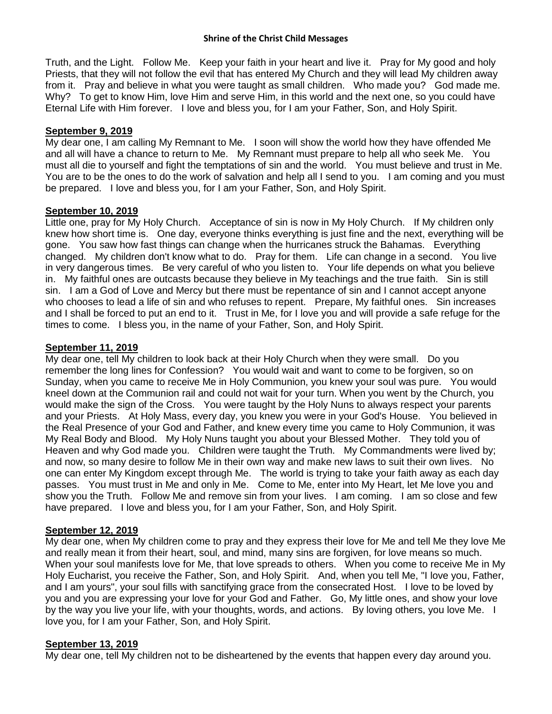#### **Shrine of the Christ Child Messages**

Truth, and the Light. Follow Me. Keep your faith in your heart and live it. Pray for My good and holy Priests, that they will not follow the evil that has entered My Church and they will lead My children away from it. Pray and believe in what you were taught as small children. Who made you? God made me. Why? To get to know Him, love Him and serve Him, in this world and the next one, so you could have Eternal Life with Him forever. I love and bless you, for I am your Father, Son, and Holy Spirit.

### **September 9, 2019**

My dear one, I am calling My Remnant to Me. I soon will show the world how they have offended Me and all will have a chance to return to Me. My Remnant must prepare to help all who seek Me. You must all die to yourself and fight the temptations of sin and the world. You must believe and trust in Me. You are to be the ones to do the work of salvation and help all I send to you. I am coming and you must be prepared. I love and bless you, for I am your Father, Son, and Holy Spirit.

### **September 10, 2019**

Little one, pray for My Holy Church. Acceptance of sin is now in My Holy Church. If My children only knew how short time is. One day, everyone thinks everything is just fine and the next, everything will be gone. You saw how fast things can change when the hurricanes struck the Bahamas. Everything changed. My children don't know what to do. Pray for them. Life can change in a second. You live in very dangerous times. Be very careful of who you listen to. Your life depends on what you believe in. My faithful ones are outcasts because they believe in My teachings and the true faith. Sin is still sin. I am a God of Love and Mercy but there must be repentance of sin and I cannot accept anyone who chooses to lead a life of sin and who refuses to repent. Prepare, My faithful ones. Sin increases and I shall be forced to put an end to it. Trust in Me, for I love you and will provide a safe refuge for the times to come. I bless you, in the name of your Father, Son, and Holy Spirit.

### **September 11, 2019**

My dear one, tell My children to look back at their Holy Church when they were small. Do you remember the long lines for Confession? You would wait and want to come to be forgiven, so on Sunday, when you came to receive Me in Holy Communion, you knew your soul was pure. You would kneel down at the Communion rail and could not wait for your turn. When you went by the Church, you would make the sign of the Cross. You were taught by the Holy Nuns to always respect your parents and your Priests. At Holy Mass, every day, you knew you were in your God's House. You believed in the Real Presence of your God and Father, and knew every time you came to Holy Communion, it was My Real Body and Blood. My Holy Nuns taught you about your Blessed Mother. They told you of Heaven and why God made you. Children were taught the Truth. My Commandments were lived by; and now, so many desire to follow Me in their own way and make new laws to suit their own lives. No one can enter My Kingdom except through Me. The world is trying to take your faith away as each day passes. You must trust in Me and only in Me. Come to Me, enter into My Heart, let Me love you and show you the Truth. Follow Me and remove sin from your lives. I am coming. I am so close and few have prepared. I love and bless you, for I am your Father, Son, and Holy Spirit.

### **September 12, 2019**

My dear one, when My children come to pray and they express their love for Me and tell Me they love Me and really mean it from their heart, soul, and mind, many sins are forgiven, for love means so much. When your soul manifests love for Me, that love spreads to others. When you come to receive Me in My Holy Eucharist, you receive the Father, Son, and Holy Spirit. And, when you tell Me, "I love you, Father, and I am yours", your soul fills with sanctifying grace from the consecrated Host. I love to be loved by you and you are expressing your love for your God and Father. Go, My little ones, and show your love by the way you live your life, with your thoughts, words, and actions. By loving others, you love Me. I love you, for I am your Father, Son, and Holy Spirit.

#### **September 13, 2019**

My dear one, tell My children not to be disheartened by the events that happen every day around you.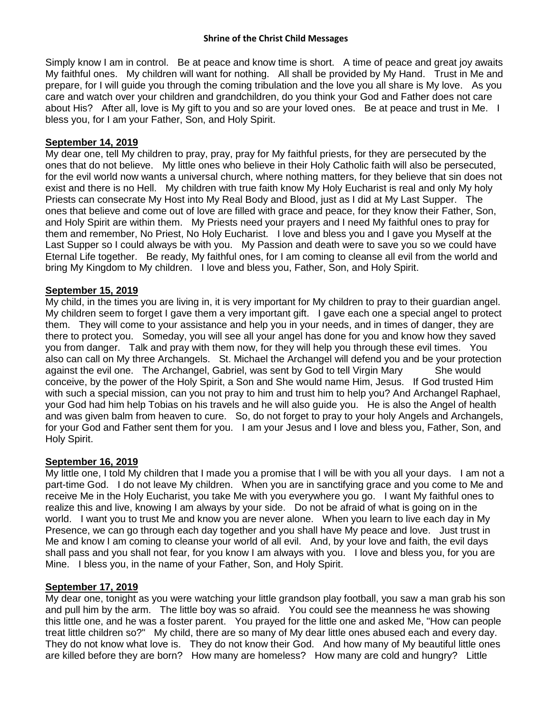Simply know I am in control. Be at peace and know time is short. A time of peace and great joy awaits My faithful ones. My children will want for nothing. All shall be provided by My Hand. Trust in Me and prepare, for I will guide you through the coming tribulation and the love you all share is My love. As you care and watch over your children and grandchildren, do you think your God and Father does not care about His? After all, love is My gift to you and so are your loved ones. Be at peace and trust in Me. I bless you, for I am your Father, Son, and Holy Spirit.

## **September 14, 2019**

My dear one, tell My children to pray, pray, pray for My faithful priests, for they are persecuted by the ones that do not believe. My little ones who believe in their Holy Catholic faith will also be persecuted, for the evil world now wants a universal church, where nothing matters, for they believe that sin does not exist and there is no Hell. My children with true faith know My Holy Eucharist is real and only My holy Priests can consecrate My Host into My Real Body and Blood, just as I did at My Last Supper. The ones that believe and come out of love are filled with grace and peace, for they know their Father, Son, and Holy Spirit are within them. My Priests need your prayers and I need My faithful ones to pray for them and remember, No Priest, No Holy Eucharist. I love and bless you and I gave you Myself at the Last Supper so I could always be with you. My Passion and death were to save you so we could have Eternal Life together. Be ready, My faithful ones, for I am coming to cleanse all evil from the world and bring My Kingdom to My children. I love and bless you, Father, Son, and Holy Spirit.

## **September 15, 2019**

My child, in the times you are living in, it is very important for My children to pray to their guardian angel. My children seem to forget I gave them a very important gift. I gave each one a special angel to protect them. They will come to your assistance and help you in your needs, and in times of danger, they are there to protect you. Someday, you will see all your angel has done for you and know how they saved you from danger. Talk and pray with them now, for they will help you through these evil times. You also can call on My three Archangels. St. Michael the Archangel will defend you and be your protection against the evil one. The Archangel, Gabriel, was sent by God to tell Virgin Mary She would conceive, by the power of the Holy Spirit, a Son and She would name Him, Jesus. If God trusted Him with such a special mission, can you not pray to him and trust him to help you? And Archangel Raphael, your God had him help Tobias on his travels and he will also guide you. He is also the Angel of health and was given balm from heaven to cure. So, do not forget to pray to your holy Angels and Archangels, for your God and Father sent them for you. I am your Jesus and I love and bless you, Father, Son, and Holy Spirit.

### **September 16, 2019**

My little one, I told My children that I made you a promise that I will be with you all your days. I am not a part-time God. I do not leave My children. When you are in sanctifying grace and you come to Me and receive Me in the Holy Eucharist, you take Me with you everywhere you go. I want My faithful ones to realize this and live, knowing I am always by your side. Do not be afraid of what is going on in the world. I want you to trust Me and know you are never alone. When you learn to live each day in My Presence, we can go through each day together and you shall have My peace and love. Just trust in Me and know I am coming to cleanse your world of all evil. And, by your love and faith, the evil days shall pass and you shall not fear, for you know I am always with you. I love and bless you, for you are Mine. I bless you, in the name of your Father, Son, and Holy Spirit.

### **September 17, 2019**

My dear one, tonight as you were watching your little grandson play football, you saw a man grab his son and pull him by the arm. The little boy was so afraid. You could see the meanness he was showing this little one, and he was a foster parent. You prayed for the little one and asked Me, "How can people treat little children so?" My child, there are so many of My dear little ones abused each and every day. They do not know what love is. They do not know their God. And how many of My beautiful little ones are killed before they are born? How many are homeless? How many are cold and hungry? Little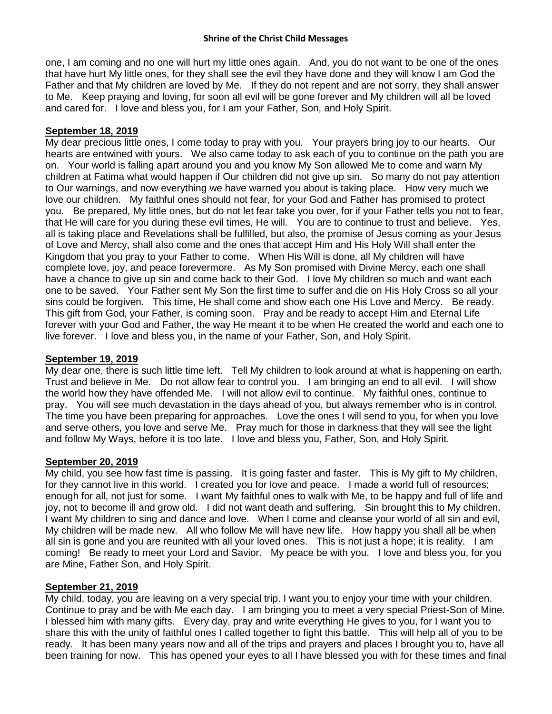one, I am coming and no one will hurt my little ones again. And, you do not want to be one of the ones that have hurt My little ones, for they shall see the evil they have done and they will know I am God the Father and that My children are loved by Me. If they do not repent and are not sorry, they shall answer to Me. Keep praying and loving, for soon all evil will be gone forever and My children will all be loved and cared for. I love and bless you, for I am your Father, Son, and Holy Spirit.

# **September 18, 2019**

My dear precious little ones, I come today to pray with you. Your prayers bring joy to our hearts. Our hearts are entwined with yours. We also came today to ask each of you to continue on the path you are on. Your world is falling apart around you and you know My Son allowed Me to come and warn My children at Fatima what would happen if Our children did not give up sin. So many do not pay attention to Our warnings, and now everything we have warned you about is taking place. How very much we love our children. My faithful ones should not fear, for your God and Father has promised to protect you. Be prepared, My little ones, but do not let fear take you over, for if your Father tells you not to fear, that He will care for you during these evil times, He will. You are to continue to trust and believe. Yes, all is taking place and Revelations shall be fulfilled, but also, the promise of Jesus coming as your Jesus of Love and Mercy, shall also come and the ones that accept Him and His Holy Will shall enter the Kingdom that you pray to your Father to come. When His Will is done, all My children will have complete love, joy, and peace forevermore. As My Son promised with Divine Mercy, each one shall have a chance to give up sin and come back to their God. I love My children so much and want each one to be saved. Your Father sent My Son the first time to suffer and die on His Holy Cross so all your sins could be forgiven. This time, He shall come and show each one His Love and Mercy. Be ready. This gift from God, your Father, is coming soon. Pray and be ready to accept Him and Eternal Life forever with your God and Father, the way He meant it to be when He created the world and each one to live forever. I love and bless you, in the name of your Father, Son, and Holy Spirit.

# **September 19, 2019**

My dear one, there is such little time left. Tell My children to look around at what is happening on earth. Trust and believe in Me. Do not allow fear to control you. I am bringing an end to all evil. I will show the world how they have offended Me. I will not allow evil to continue. My faithful ones, continue to pray. You will see much devastation in the days ahead of you, but always remember who is in control. The time you have been preparing for approaches. Love the ones I will send to you, for when you love and serve others, you love and serve Me. Pray much for those in darkness that they will see the light and follow My Ways, before it is too late. I love and bless you, Father, Son, and Holy Spirit.

### **September 20, 2019**

My child, you see how fast time is passing. It is going faster and faster. This is My gift to My children, for they cannot live in this world. I created you for love and peace. I made a world full of resources; enough for all, not just for some. I want My faithful ones to walk with Me, to be happy and full of life and joy, not to become ill and grow old. I did not want death and suffering. Sin brought this to My children. I want My children to sing and dance and love. When I come and cleanse your world of all sin and evil, My children will be made new. All who follow Me will have new life. How happy you shall all be when all sin is gone and you are reunited with all your loved ones. This is not just a hope; it is reality. I am coming! Be ready to meet your Lord and Savior. My peace be with you. I love and bless you, for you are Mine, Father Son, and Holy Spirit.

### **September 21, 2019**

My child, today, you are leaving on a very special trip. I want you to enjoy your time with your children. Continue to pray and be with Me each day. I am bringing you to meet a very special Priest-Son of Mine. I blessed him with many gifts. Every day, pray and write everything He gives to you, for I want you to share this with the unity of faithful ones I called together to fight this battle. This will help all of you to be ready. It has been many years now and all of the trips and prayers and places I brought you to, have all been training for now. This has opened your eyes to all I have blessed you with for these times and final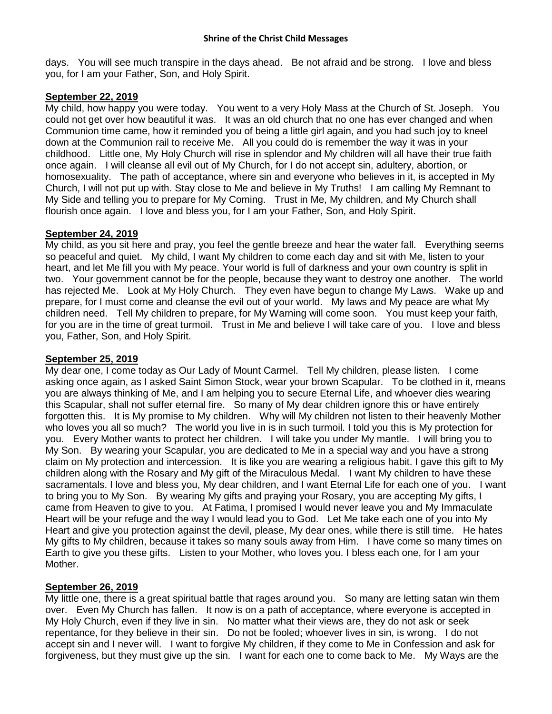days. You will see much transpire in the days ahead. Be not afraid and be strong. I love and bless you, for I am your Father, Son, and Holy Spirit.

### **September 22, 2019**

My child, how happy you were today. You went to a very Holy Mass at the Church of St. Joseph. You could not get over how beautiful it was. It was an old church that no one has ever changed and when Communion time came, how it reminded you of being a little girl again, and you had such joy to kneel down at the Communion rail to receive Me. All you could do is remember the way it was in your childhood. Little one, My Holy Church will rise in splendor and My children will all have their true faith once again. I will cleanse all evil out of My Church, for I do not accept sin, adultery, abortion, or homosexuality. The path of acceptance, where sin and everyone who believes in it, is accepted in My Church, I will not put up with. Stay close to Me and believe in My Truths! I am calling My Remnant to My Side and telling you to prepare for My Coming. Trust in Me, My children, and My Church shall flourish once again. I love and bless you, for I am your Father, Son, and Holy Spirit.

## **September 24, 2019**

My child, as you sit here and pray, you feel the gentle breeze and hear the water fall. Everything seems so peaceful and quiet. My child, I want My children to come each day and sit with Me, listen to your heart, and let Me fill you with My peace. Your world is full of darkness and your own country is split in two. Your government cannot be for the people, because they want to destroy one another. The world has rejected Me. Look at My Holy Church. They even have begun to change My Laws. Wake up and prepare, for I must come and cleanse the evil out of your world. My laws and My peace are what My children need. Tell My children to prepare, for My Warning will come soon. You must keep your faith, for you are in the time of great turmoil. Trust in Me and believe I will take care of you. I love and bless you, Father, Son, and Holy Spirit.

# **September 25, 2019**

My dear one, I come today as Our Lady of Mount Carmel. Tell My children, please listen. I come asking once again, as I asked Saint Simon Stock, wear your brown Scapular. To be clothed in it, means you are always thinking of Me, and I am helping you to secure Eternal Life, and whoever dies wearing this Scapular, shall not suffer eternal fire. So many of My dear children ignore this or have entirely forgotten this. It is My promise to My children. Why will My children not listen to their heavenly Mother who loves you all so much? The world you live in is in such turmoil. I told you this is My protection for you. Every Mother wants to protect her children. I will take you under My mantle. I will bring you to My Son. By wearing your Scapular, you are dedicated to Me in a special way and you have a strong claim on My protection and intercession. It is like you are wearing a religious habit. I gave this gift to My children along with the Rosary and My gift of the Miraculous Medal. I want My children to have these sacramentals. I love and bless you, My dear children, and I want Eternal Life for each one of you. I want to bring you to My Son. By wearing My gifts and praying your Rosary, you are accepting My gifts, I came from Heaven to give to you. At Fatima, I promised I would never leave you and My Immaculate Heart will be your refuge and the way I would lead you to God. Let Me take each one of you into My Heart and give you protection against the devil, please, My dear ones, while there is still time. He hates My gifts to My children, because it takes so many souls away from Him. I have come so many times on Earth to give you these gifts. Listen to your Mother, who loves you. I bless each one, for I am your Mother.

# **September 26, 2019**

My little one, there is a great spiritual battle that rages around you. So many are letting satan win them over. Even My Church has fallen. It now is on a path of acceptance, where everyone is accepted in My Holy Church, even if they live in sin. No matter what their views are, they do not ask or seek repentance, for they believe in their sin. Do not be fooled; whoever lives in sin, is wrong. I do not accept sin and I never will. I want to forgive My children, if they come to Me in Confession and ask for forgiveness, but they must give up the sin. I want for each one to come back to Me. My Ways are the